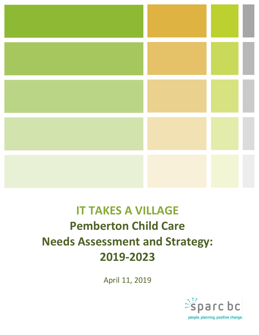

# **IT TAKES A VILLAGE Pemberton Child Care Needs Assessment and Strategy: 2019-2023**

April 11, 2019

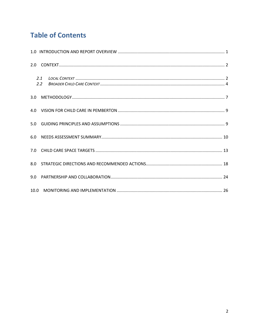# **Table of Contents**

| 2.1<br>2.2 |  |
|------------|--|
|            |  |
|            |  |
| 5.0        |  |
|            |  |
|            |  |
|            |  |
|            |  |
|            |  |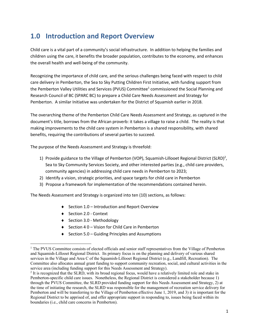# **1.0 Introduction and Report Overview**

Child care is a vital part of a community's social infrastructure. In addition to helping the families and children using the care, it benefits the broader population, contributes to the economy, and enhances the overall health and well-being of the community.

Recognizing the importance of child care, and the serious challenges being faced with respect to child care delivery in Pemberton, the Sea to Sky Putting Children First Initiative, with funding support from the Pemberton Valley Utilities and Services (PVUS) Committee<sup>1</sup> commissioned the Social Planning and Research Council of BC (SPARC BC) to prepare a Child Care Needs Assessment and Strategy for Pemberton. A similar Initiative was undertaken for the District of Squamish earlier in 2018.

The overarching theme of the Pemberton Child Care Needs Assessment and Strategy, as captured in the document's title, borrows from the African proverb: it takes a village to raise a child. The reality is that making improvements to the child care system in Pemberton is a shared responsibility, with shared benefits, requiring the contributions of several parties to succeed.

The purpose of the Needs Assessment and Strategy is threefold:

- 1) Provide guidance to the Village of Pemberton (VOP), Squamish-Lillooet Regional District (SLRD)<sup>2</sup>, Sea to Sky Community Services Society, and other interested parties (e.g., child care providers, community agencies) in addressing child care needs in Pemberton to 2023;
- 2) Identify a vision, strategic priorities, and space targets for child care in Pemberton
- 3) Propose a framework for implementation of the recommendations contained herein.

The Needs Assessment and Strategy is organized into ten (10) sections, as follows:

- $\triangleleft$  Section 1.0 Introduction and Report Overview
- ◆ Section 2.0 Context
- $\triangleleft$  Section 3.0 Methodology
- $\triangle$  Section 4 0 Vision for Child Care in Pemberton
- $\triangleleft$  Section 5.0 Guiding Principles and Assumptions

<sup>&</sup>lt;sup>1</sup> The PVUS Committee consists of elected officials and senior staff representatives from the Village of Pemberton and Squamish-Lillooet Regional District. Its primary focus is on the planning and delivery of various shared services in the Village and Area C of the Squamish-Lillooet Regional District (e.g., Landfill, Recreation). The Committee also allocates annual grant funding to support community recreation, social, and cultural activities in the service area (including funding support for this Needs Assessment and Strategy).

<sup>&</sup>lt;sup>2</sup> It is recognized that the SLRD, with its broad regional focus, would have a relatively limited role and stake in Pemberton-specific child care issues. Nonetheless, the Regional District is considered a stakeholder because 1) through the PVUS Committee, the SLRD provided funding support for this Needs Assessment and Strategy, 2) at the time of initiating the research, the SLRD was responsible for the management of recreation service delivery for Pemberton and will be transferring to the Village of Pemberton effective June 1, 2019, and 3) it is important for the Regional District to be apprised of, and offer appropriate support in responding to, issues being faced within its boundaries (i.e., child care concerns in Pemberton).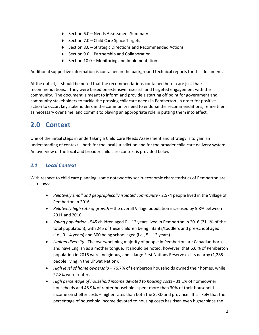- $\triangleleft$  Section 6.0 Needs Assessment Summary
- $\triangle$  Section 7.0 Child Care Space Targets
- $\triangle$  Section 8.0 Strategic Directions and Recommended Actions
- $\triangleleft$  Section 9.0 Partnership and Collaboration
- $\triangleleft$  Section 10.0 Monitoring and Implementation.

Additional supportive information is contained in the background technical reports for this document.

At the outset, it should be noted that the recommendations contained herein are just that: recommendations. They were based on extensive research and targeted engagement with the community. The document is meant to inform and provide a starting off point for government and community stakeholders to tackle the pressing childcare needs in Pemberton. In order for positive action to occur, key stakeholders in the community need to endorse the recommendations, refine them as necessary over time, and commit to playing an appropriate role in putting them into effect.

# **2.0 Context**

One of the initial steps in undertaking a Child Care Needs Assessment and Strategy is to gain an understanding of context – both for the local jurisdiction and for the broader child care delivery system. An overview of the local and broader child care context is provided below.

### *2.1 Local Context*

With respect to child care planning, some noteworthy socio-economic characteristics of Pemberton are as follows:

- *Relatively small and geographically isolated community* 2,574 people lived in the Village of Pemberton in 2016.
- *Relatively high rate of growth* the overall Village population increased by 5.8% between 2011 and 2016.
- *Young population* 545 children aged 0 12 years lived in Pemberton in 2016 (21.1% of the total population), with 245 of these children being infants/toddlers and pre-school aged (i.e.,  $0 - 4$  years) and 300 being school aged (i.e.,  $5 - 12$  years).
- *Limited diversity* The overwhelming majority of people in Pemberton are Canadian-born and have English as a mother tongue. It should be noted, however, that 6.6 % of Pemberton population in 2016 were Indiginous, and a large First Nations Reserve exists nearby (1,285 people living in the Lil'wat Nation).
- *High level of home ownership*  76.7% of Pemberton households owned their homes, while 22.8% were renters.
- *High percentage of household income devoted to housing costs* 31.1% of homeowner households and 48.9% of renter households spent more than 30% of their household income on shelter costs – higher rates than both the SLRD and province. It is likely that the percentage of household income devoted to housing costs has risen even higher since the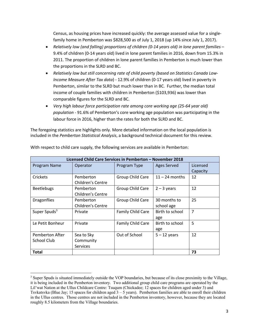Census, as housing prices have increased quickly: the average assessed value for a singlefamily home in Pemberton was \$828,500 as of July 1, 2018 (up 14% since July 1, 2017).

- *Relatively low (and falling) proportions of children (0-14 years old) in lone parent families*  9.4% of children (0-14 years old) lived in lone parent families in 2016, down from 15.3% in 2011. The proportion of children in lone parent families in Pemberton is much lower than the proportions in the SLRD and BC.
- *Relatively low but still concerning rate of child poverty (based on Statistics Canada Low-Income Measure After Tax data*) - 12.9% of children (0-17 years old) lived in poverty in Pemberton, similar to the SLRD but much lower than in BC. Further, the median total income of couple families with children in Pemberton (\$103,936) was lower than comparable figures for the SLRD and BC.
- *Very high labour force participation rate among core working age (25-64 year old) population* - 91.6% of Pemberton's core working age population was participating in the labour force in 2016, higher than the rates for both the SLRD and BC.

The foregoing statistics are highlights only. More detailed information on the local population is included in the *Pemberton Statistical Analysis*, a background technical document for this review.

| Licensed Child Care Services in Pemberton - November 2018 |                   |                   |                    |                |  |  |
|-----------------------------------------------------------|-------------------|-------------------|--------------------|----------------|--|--|
| Program Name                                              | Operator          | Program Type      | <b>Ages Served</b> | Licensed       |  |  |
|                                                           |                   |                   |                    | Capacity       |  |  |
| Crickets                                                  | Pemberton         | Group Child Care  | $11 - 24$ months   | 12             |  |  |
|                                                           | Children's Centre |                   |                    |                |  |  |
| <b>Beetlebugs</b>                                         | Pemberton         | Group Child Care  | $2 - 3$ years      | 12             |  |  |
|                                                           | Children's Centre |                   |                    |                |  |  |
| <b>Dragonflies</b>                                        | Pemberton         | Group Child Care  | 30 months to       | 25             |  |  |
|                                                           | Children's Centre |                   | school age         |                |  |  |
| Super Spuds <sup>3</sup>                                  | Private           | Family Child Care | Birth to school    | $\overline{7}$ |  |  |
|                                                           |                   |                   | age                |                |  |  |
| Le Petit Bonheur                                          | Private           | Family Child Care | Birth to school    | 5              |  |  |
|                                                           |                   |                   | age                |                |  |  |
| Pemberton After                                           | Sea to Sky        | Out of School     | $5 - 12$ years     | 12             |  |  |
| School Club                                               | Community         |                   |                    |                |  |  |
|                                                           | <b>Services</b>   |                   |                    |                |  |  |
| Total                                                     |                   |                   |                    | 73             |  |  |

With respect to child care supply, the following services are available in Pemberton:

<sup>&</sup>lt;sup>3</sup> Super Spuds is situated immediately outside the VOP boundaries, but because of its close proximity to the Village, it is being included in the Pemberton inventory. Two additional group child care programs are operated by the Lil'wat Nation at the Ullus Childcare Centre: Tsuqum (Chickadee; 12 spaces for children aged under 3) and Tsvkatsvka (Blue Jay; 15 spaces for children aged  $3 - 5$  years). Pemberton families are able to enroll their children in the Ullus centres. Those centres are not included in the Pemberton inventory, however, because they are located roughly 8.5 kilometers from the Village boundaries.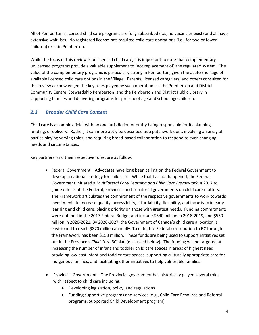All of Pemberton's licensed child care programs are fully subscribed (i.e., no vacancies exist) and all have extensive wait lists. No registered license-not-required child care operations (i.e., for two or fewer children) exist in Pemberton.

While the focus of this review is on licensed child care, it is important to note that complementary unlicensed programs provide a valuable supplement to (not replacement of) the regulated system. The value of the complementary programs is particularly strong in Pemberton, given the acute shortage of available licensed child care options in the Village. Parents, licensed caregivers, and others consulted for this review acknowledged the key roles played by such operations as the Pemberton and District Community Centre, Stewardship Pemberton, and the Pemberton and District Public Library in supporting families and delivering programs for preschool-age and school-age children.

#### *2.2 Broader Child Care Context*

Child care is a complex field, with no one jurisdiction or entity being responsible for its planning, funding, or delivery. Rather, it can more aptly be described as a patchwork quilt, involving an array of parties playing varying roles, and requiring broad-based collaboration to respond to ever-changing needs and circumstances.

Key partners, and their respective roles, are as follow:

- Federal Government Advocates have long been calling on the Federal Government to develop a national strategy for child care. While that has not happened, the Federal Government initiated a *Multilateral Early Learning and Child Care Framework* in 2017 to guide efforts of the Federal, Provincial and Territorial governments on child care matters. The Framework articulates the commitment of the respective governments to work towards investments to increase quality, accessibility, affordability, flexibility, and inclusivity in early learning and child care, placing priority on those with greatest needs. Funding commitments were outlined in the 2017 Federal Budget and include \$540 million in 2018-2019, and \$550 million in 2020-2021. By 2026-2027, the Government of Canada's child care allocation is envisioned to reach \$870 million annually. To date, the Federal contribution to BC through the Framework has been \$153 million. These funds are being used to support initiatives set out in the Province's *Child Care BC* plan (discussed below). The funding will be targeted at increasing the number of infant and toddler child care spaces in areas of highest need, providing low-cost infant and toddler care spaces, supporting culturally appropriate care for Indigenous families, and facilitating other initiatives to help vulnerable families.
- Provincial Government The Provincial government has historically played several roles with respect to child care including:
	- $\bullet$  Developing legislation, policy, and regulations
	- ◆ Funding supportive programs and services (e.g., Child Care Resource and Referral programs, Supported Child Development program)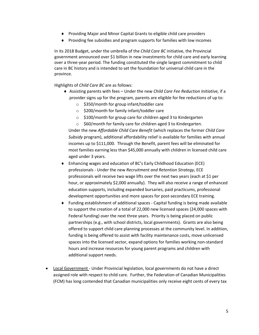- ◆ Providing Major and Minor Capital Grants to eligible child care providers
- $\bullet$  Providing fee subsidies and program supports for families with low incomes

In its 2018 Budget, under the umbrella of the *Child Care BC* initiative, the Provincial government announced over \$1 billion in new investments for child care and early learning over a three-year period. The funding constituted the single largest commitment to child care in BC history and is intended to set the foundation for universal child care in the province.

Highlights of *Child Care BC* are as follows:

- ¨ Assisting parents with fees Under the new *Child Care Fee Reduction Initiative,* if a provider signs up for the program, parents are eligible for fee reductions of up to:
	- o \$350/month for group infant/toddler care
	- o \$200/month for family infant/toddler care
	- o \$100/month for group care for children aged 3 to Kindergarten
	- o \$60/month for family care for children aged 3 to Kindergarten.

Under the new *Affordable Child Care Benefit* (which replaces the former *Child Care Subsidy* program), additional affordability relief is available for families with annual incomes up to \$111,000. Through the Benefit, parent fees will be eliminated for most families earning less than \$45,000 annually with children in licensed child care aged under 3 years.

- ◆ Enhancing wages and education of BC's Early Childhood Education (ECE) professionals - Under the new *Recruitment and Retention Strategy*, ECE professionals will receive two wage lifts over the next two years (each at \$1 per hour, or approximately \$2,000 annually). They will also receive a range of enhanced education supports, including expanded bursaries, paid practicums, professional development opportunities and more spaces for post-secondary ECE training.
- $\bullet$  Funding establishment of additional spaces Capital funding is being made available to support the creation of a total of 22,000 new licensed spaces (24,000 spaces with Federal funding) over the next three years. Priority is being placed on public partnerships (e.g., with school districts, local governments). Grants are also being offered to support child care planning processes at the community level. In addition, funding is being offered to assist with facility maintenance costs, move unlicensed spaces into the licensed sector, expand options for families working non-standard hours and increase resources for young parent programs and children with additional support needs.
- Local Government Under Provincial legislation, local governments do not have a direct assigned role with respect to child care. Further, the Federation of Canadian Municipalities (FCM) has long contended that Canadian municipalities only receive eight cents of every tax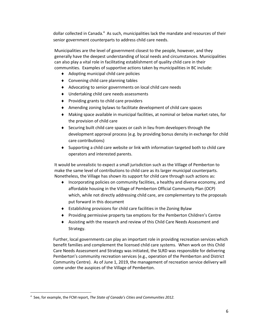dollar collected in Canada.<sup>4</sup> As such, municipalities lack the mandate and resources of their senior government counterparts to address child care needs.

Municipalities are the level of government closest to the people, however, and they generally have the deepest understanding of local needs and circumstances. Municipalities can also play a vital role in facilitating establishment of quality child care in their communities. Examples of supportive actions taken by municipalities in BC include:

- $\triangleleft$  Adopting municipal child care policies
- $\bullet$  Convening child care planning tables
- ◆ Advocating to senior governments on local child care needs
- $\bullet$  Undertaking child care needs assessments
- $\bullet$  Providing grants to child care providers
- ◆ Amending zoning bylaws to facilitate development of child care spaces
- $\bullet$  Making space available in municipal facilities, at nominal or below market rates, for the provision of child care
- ◆ Securing built child care spaces or cash in lieu from developers through the development approval process (e.g. by providing bonus density in exchange for child care contributions)
- ◆ Supporting a child care website or link with information targeted both to child care operators and interested parents.

It would be unrealistic to expect a small jurisdiction such as the Village of Pemberton to make the same level of contributions to child care as its larger municipal counterparts. Nonetheless, the Village has shown its support for child care through such actions as:

- $\bullet$  Incorporating policies on community facilities, a healthy and diverse economy, and affordable housing in the Village of Pemberton Official Community Plan (OCP) which, while not directly addressing child care, are complementary to the proposals put forward in this document
- $\bullet$  Establishing provisions for child care facilities in the Zoning Bylaw
- ◆ Providing permissive property tax emptions for the Pemberton Children's Centre
- ◆ Assisting with the research and review of this Child Care Needs Assessment and Strategy.

Further, local governments can play an important role in providing recreation services which benefit families and complement the licensed child care systems. When work on this Child Care Needs Assessment and Strategy was initiated, the SLRD was responsible for delivering Pemberton's community recreation services (e.g., operation of the Pemberton and District Community Centre). As of June 1, 2019, the management of recreation service delivery will come under the auspices of the Village of Pemberton.

 <sup>4</sup> See, for example, the FCM report, *The State of Canada's Cities and Communities 2012.*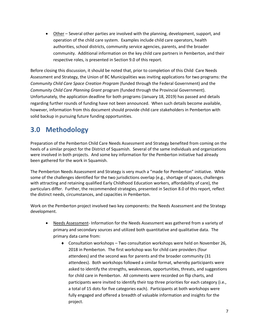• Other – Several other parties are involved with the planning, development, support, and operation of the child care system. Examples include child care operators, health authorities, school districts, community service agencies, parents, and the broader community. Additional information on the key child care partners in Pemberton, and their respective roles, is presented in Section 9.0 of this report.

Before closing this discussion, it should be noted that, prior to completion of this Child Care Needs Assessment and Strategy, the Union of BC Municipalities was inviting applications for two programs: the *Community Child Care Space Creation Program* (funded through the Federal Government) and the *Community Child Care Planning Grant* program (funded through the Provincial Government). Unfortunately, the application deadline for both programs (January 18, 2019) has passed and details regarding further rounds of funding have not been announced. When such details become available, however, information from this document should provide child care stakeholders in Pemberton with solid backup in pursuing future funding opportunities.

## **3.0 Methodology**

Preparation of the Pemberton Child Care Needs Assessment and Strategy benefited from coming on the heels of a similar project for the District of Squamish. Several of the same individuals and organizations were involved in both projects. And some key information for the Pemberton initiative had already been gathered for the work in Squamish.

The Pemberton Needs Assessment and Strategy is very much a "made for Pemberton" initiative. While some of the challenges identified for the two jurisdictions overlap (e.g., shortage of spaces, challenges with attracting and retaining qualified Early Childhood Education workers, affordability of care), the particulars differ. Further, the recommended strategies, presented in Section 8.0 of this report, reflect the distinct needs, circumstances, and capacities in Pemberton.

Work on the Pemberton project involved two key components: the Needs Assessment and the Strategy development.

- Needs Assessment- Information for the Needs Assessment was gathered from a variety of primary and secondary sources and utilized both quantitative and qualitative data. The primary data came from:
	- $\bullet$  Consultation workshops Two consultation workshops were held on November 26, 2018 in Pemberton. The first workshop was for child care providers (four attendees) and the second was for parents and the broader community (31 attendees). Both workshops followed a similar format, whereby participants were asked to identify the strengths, weaknesses, opportunities, threats, and suggestions for child care in Pemberton. All comments were recorded on flip charts, and participants were invited to identify their top three priorities for each category (i.e., a total of 15 dots for five categories each). Participants at both workshops were fully engaged and offered a breadth of valuable information and insights for the project.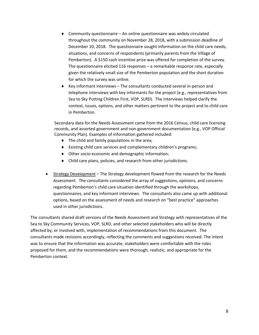- $\bullet$  Community questionnaire An online questionnaire was widely circulated throughout the community on November 28, 2018, with a submission deadline of December 10, 2018. The questionnaire sought information on the child care needs, situations, and concerns of respondents (primarily parents from the Village of Pemberton). A \$150 cash incentive prize was offered for completion of the survey. The questionnaire elicited 116 responses – a remarkable response rate, especially given the relatively small size of the Pemberton population and the short duration for which the survey was online.
- $\bullet$  Key informant interviews The consultants conducted several in-person and telephone interviews with key informants for the project (e.g., representatives from Sea to Sky Putting Children First, VOP, SLRD). The interviews helped clarify the context, issues, options, and other matters pertinent to the project and to child care in Pemberton.

Secondary data for the Needs Assessment came from the 2016 Census, child care licensing records, and assorted government and non-government documentation (e.g., VOP Official Community Plan). Examples of information gathered included:

- $\bullet$  The child and family populations in the area;
- $\bullet$  Existing child care services and complementary children's programs;
- ◆ Other socio-economic and demographic information;
- $\bullet$  Child care plans, policies, and research from other jurisdictions.
- Strategy Development The Strategy development flowed from the research for the Needs Assessment. The consultants considered the array of suggestions, opinions, and concerns regarding Pemberton's child care situation identified through the workshops, questionnaires, and key informant interviews. The consultants also came up with additional options, based on the assessment of needs and research on "best practice" approaches used in other jurisdictions.

The consultants shared draft versions of the Needs Assessment and Strategy with representatives of the Sea to Sky Community Services, VOP, SLRD, and other selected stakeholders who will be directly affected by, or involved with, implementation of recommendations from this document. The consultants made revisions accordingly, reflecting the comments and suggestions received. The intent was to ensure that the information was accurate, stakeholders were comfortable with the roles proposed for them, and the recommendations were thorough, realistic, and appropriate for the Pemberton context.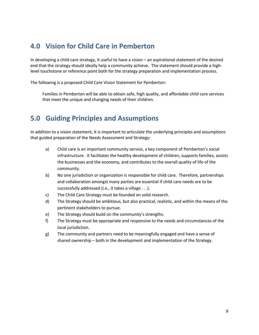### **4.0 Vision for Child Care in Pemberton**

In developing a child care strategy, it useful to have a vision – an aspirational statement of the desired end that the strategy should ideally help a community achieve. The statement should provide a highlevel touchstone or reference point both for the strategy preparation and implementation process.

The following is a proposed Child Care Vision Statement for Pemberton:

Families in Pemberton will be able to obtain safe, high quality, and affordable child care services that meet the unique and changing needs of their children.

### **5.0 Guiding Principles and Assumptions**

In addition to a vision statement, it is important to articulate the underlying principles and assumptions that guided preparation of the Needs Assessment and Strategy:

- a) Child care is an important community service, a key component of Pemberton's social infrastructure. It facilitates the healthy development of children, supports families, assists the businesses and the economy, and contributes to the overall quality of life of the community.
- b) No one jurisdiction or organization is responsible for child care. Therefore, partnerships and collaboration amongst many parties are essential if child care needs are to be successfully addressed (i.e., it takes a village . . .).
- c) The Child Care Strategy must be founded on solid research.
- d) The Strategy should be ambitious, but also practical, realistic, and within the means of the pertinent stakeholders to pursue.
- e) The Strategy should build on the community's strengths.
- f) The Strategy must be appropriate and responsive to the needs and circumstances of the local jurisdiction.
- g) The community and partners need to be meaningfully engaged and have a sense of shared ownership – both in the development and implementation of the Strategy.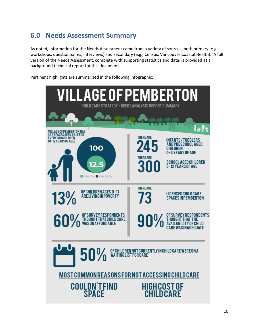# **6.0 Needs Assessment Summary**

As noted, information for the Needs Assessment came from a variety of sources, both primary (e.g., workshops, questionnaires, interviews) and secondary (e.g., Census, Vancouver Coastal Health). A full version of the Needs Assessment, complete with supporting statistics and data, is provided as a background technical report for this document.

Pertinent highlights are summarized in the following infographic:

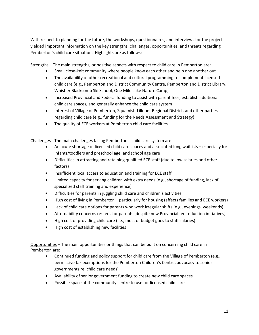With respect to planning for the future, the workshops, questionnaires, and interviews for the project yielded important information on the key strengths, challenges, opportunities, and threats regarding Pemberton's child care situation. Highlights are as follows:

Strengths – The main strengths, or positive aspects with respect to child care in Pemberton are:

- Small close-knit community where people know each other and help one another out
- The availability of other recreational and cultural programming to complement licensed child care (e.g., Pemberton and District Community Centre, Pemberton and District Library, Whistler Blackcomb Ski School, One Mile Lake Nature Camp)
- Increased Provincial and Federal funding to assist with parent fees, establish additional child care spaces, and generally enhance the child care system
- Interest of Village of Pemberton, Squamish-Lillooet Regional District, and other parties regarding child care (e.g., funding for the Needs Assessment and Strategy)
- The quality of ECE workers at Pemberton child care facilities.

Challenges - The main challenges facing Pemberton's child care system are:

- An acute shortage of licensed child care spaces and associated long waitlists especially for infants/toddlers and preschool age, and school age care
- Difficulties in attracting and retaining qualified ECE staff (due to low salaries and other factors)
- Insufficient local access to education and training for ECE staff
- Limited capacity for serving children with extra needs (e.g., shortage of funding, lack of specialized staff training and experience)
- Difficulties for parents in juggling child care and children's activities
- High cost of living in Pemberton particularly for housing (affects families and ECE workers)
- Lack of child care options for parents who work irregular shifts (e.g., evenings, weekends)
- Affordability concerns re: fees for parents (despite new Provincial fee reduction initiatives)
- High cost of providing child care (i.e., most of budget goes to staff salaries)
- High cost of establishing new facilities

Opportunities – The main opportunities or things that can be built on concerning child care in Pemberton are:

- Continued funding and policy support for child care from the Village of Pemberton (e.g., permissive tax exemptions for the Pemberton Children's Centre, advocacy to senior governments re: child care needs)
- Availability of senior government funding to create new child care spaces
- Possible space at the community centre to use for licensed child care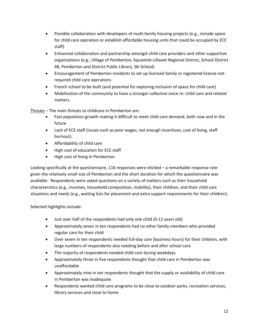- Possible collaboration with developers of multi-family housing projects (e.g., include space for child care operation or establish affordable housing units that could be occupied by ECE staff)
- Enhanced collaboration and partnership amongst child care providers and other supportive organizations (e.g., Village of Pemberton, Squamish-Lillooet Regional District, School District 48, Pemberton and District Public Library, Ski School)
- Encouragement of Pemberton residents to set up licensed family or registered license-notrequired child care operations
- French school to be built (and potential for exploring inclusion of space for child care)
- Mobilization of the community to have a stronger collective voice re: child care and related matters.

Threats – The main threats to childcare in Pemberton are:

- Fast population growth making it difficult to meet child care demand, both now and in the future
- Lack of ECE staff (issues such as poor wages, not enough incentives, cost of living, staff burnout).
- Affordability of child care
- High cost of education for ECE staff
- High cost of living in Pemberton

Looking specifically at the questionnaire, 116 responses were elicited – a remarkable response rate given the relatively small size of Pemberton and the short duration for which the questionnaire was available. Respondents were asked questions on a variety of matters such as their household characteristics (e.g., incomes, household composition, mobility), their children, and their child care situations and needs (e.g., waiting lists for placement and extra support requirements for their children).

Selected highlights include:

- Just over half of the respondents had only one child (0-12 years old)
- Approximately seven in ten respondents had no other family members who provided regular care for their child
- Over seven in ten respondents needed full-day care (business hours) for their children, with large numbers of respondents also needing before and after school care
- The majority of respondents needed child care during weekdays
- Approximately three in five respondents thought that child care in Pemberton was unaffordable
- Approximately nine in ten respondents thought that the supply or availability of child care in Pemberton was inadequate
- Respondents wanted child care programs to be close to outdoor parks, recreation services, library services and close to home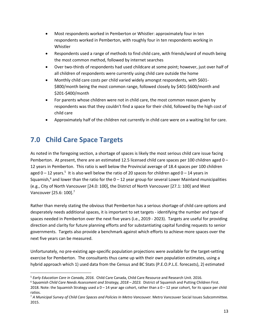- Most respondents worked in Pemberton or Whistler: approximately four in ten respondents worked in Pemberton, with roughly four in ten respondents working in Whistler
- Respondents used a range of methods to find child care, with friends/word of mouth being the most common method, followed by internet searches
- Over two-thirds of respondents had used childcare at some point; however, just over half of all children of respondents were currently using child care outside the home
- Monthly child care costs per child varied widely amongst respondents, with \$601- \$800/month being the most common range, followed closely by \$401-\$600/month and \$201-\$400/month
- For parents whose children were not in child care, the most common reason given by respondents was that they couldn't find a space for their child, followed by the high cost of child care
- Approximately half of the children not currently in child care were on a waiting list for care.

# **7.0 Child Care Space Targets**

As noted in the foregoing section, a shortage of spaces is likely the most serious child care issue facing Pemberton. At present, there are an estimated 12.5 licensed child care spaces per 100 children aged 0 – 12 years in Pemberton. This ratio is well below the Provincial average of 18.4 spaces per 100 children aged 0 – 12 years.<sup>5</sup> It is also well below the ratio of 20 spaces for children aged 0 – 14 years in Squamish,<sup>6</sup> and lower than the ratio for the  $0 - 12$  year group for several Lower Mainland municipalities (e.g., City of North Vancouver [24.0: 100], the District of North Vancouver [27.1: 100] and West Vancouver [25.6: 100].7

Rather than merely stating the obvious that Pemberton has a serious shortage of child care options and desperately needs additional spaces, it is important to set targets - identifying the number and type of spaces needed in Pemberton over the next five years (i.e., 2019 - 2023). Targets are useful for providing direction and clarity for future planning efforts and for substantiating capital funding requests to senior governments. Targets also provide a benchmark against which efforts to achieve more spaces over the next five years can be measured.

Unfortunately, no pre-existing age-specific population projections were available for the target-setting exercise for Pemberton. The consultants thus came up with their own population estimates, using a hybrid approach which 1) used data from the Census and BC Stats (P.E.O.P.L.E. forecasts), 2) estimated

 $\overline{a}$ <sup>5</sup> *Early Education Care in Canada, 2016.* Child Care Canada, Child Care Resource and Research Unit. 2016.

<sup>6</sup> S*quamish Child Care Needs Assessment and Strategy, 2018 – 2023.* District of Squamish and Putting Children First. 2018. Note: the Squamish Strategy used a  $0-14$  year age cohort, rather than a  $0-12$  year cohort, for its space per child ratios.

<sup>7</sup> *A Municipal Survey of Child Care Spaces and Policies In Metro Vancouver.* Metro Vancouver Social Issues Subcommittee. 2015.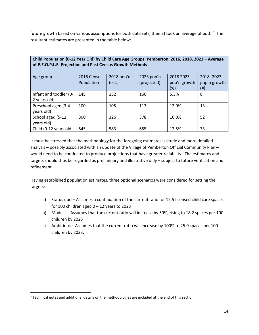future growth based on various assumptions for both data sets, then 3) took an average of both.<sup>8</sup> The resultant estimates are presented in the table below:

| Child Population (0-12 Year Old) by Child Care Age Groups, Pemberton, 2016, 2018, 2023 - Average<br>of P.E.O.P.L.E. Projection and Past Census Growth Methods |                           |                      |                           |                           |                           |  |  |
|---------------------------------------------------------------------------------------------------------------------------------------------------------------|---------------------------|----------------------|---------------------------|---------------------------|---------------------------|--|--|
| Age group                                                                                                                                                     | 2016 Census<br>Population | 2018 pop'n<br>(est.) | 2023 pop'n<br>(projected) | 2018 2023<br>pop'n growth | 2018-2023<br>pop'n growth |  |  |
|                                                                                                                                                               |                           |                      |                           | $(\%)$                    | $(\#)$                    |  |  |
| Infant and toddler (0-                                                                                                                                        | 145                       | 152                  | 160                       | 5.3%                      | 8                         |  |  |
| 2 years old)                                                                                                                                                  |                           |                      |                           |                           |                           |  |  |
| Preschool aged (3-4                                                                                                                                           | 100                       | 105                  | 117                       | 12.0%                     | 13                        |  |  |
| years old)                                                                                                                                                    |                           |                      |                           |                           |                           |  |  |
| School aged (5-12<br>years old)                                                                                                                               | 300                       | 326                  | 378                       | 16.0%                     | 52                        |  |  |
| Child (0-12 years old)                                                                                                                                        | 545                       | 583                  | 655                       | 12.5%                     | 73                        |  |  |

It must be stressed that the methodology for the foregoing estimates is crude and more detailed analysis – possibly associated with an update of the Village of Pemberton Official Community Plan – would need to be conducted to produce projections that have greater reliability. The estimates and targets should thus be regarded as preliminary and illustrative only – subject to future verification and refinement.

Having established population estimates, three optional scenarios were considered for setting the targets:

- a) Status quo Assumes a continuation of the current ratio for 12.5 licensed child care spaces for 100 children aged  $0 - 12$  years to 2023
- b) Modest Assumes that the current ratio will increase by 50%, rising to 18.2 spaces per 100 children by 2023
- c) Ambitious Assumes that the current ratio will increase by 100% to 25.0 spaces per 100 children by 2023.

 $\overline{a}$ 

<sup>&</sup>lt;sup>8</sup> Technical notes and additional details on the methodologies are included at the end of this section.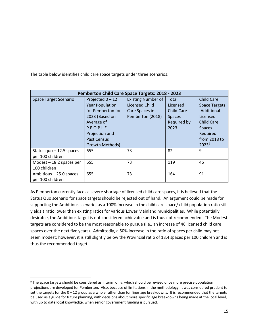The table below identifies child care space targets under three scenarios:

| <b>Pemberton Child Care Space Targets: 2018 - 2023</b> |                                                                                                                                 |                                                                                   |                                                                                |                                                                                                                        |  |
|--------------------------------------------------------|---------------------------------------------------------------------------------------------------------------------------------|-----------------------------------------------------------------------------------|--------------------------------------------------------------------------------|------------------------------------------------------------------------------------------------------------------------|--|
| <b>Space Target Scenario</b>                           | Projected 0-12<br><b>Year Population</b><br>for Pemberton for<br>2023 (Based on<br>Average of<br>P.E.O.P.L.E.<br>Projection and | <b>Existing Number of</b><br>Licensed Child<br>Care Spaces in<br>Pemberton (2018) | Total<br>Licensed<br><b>Child Care</b><br><b>Spaces</b><br>Required by<br>2023 | <b>Child Care</b><br><b>Space Targets</b><br>-Additional<br>Licensed<br><b>Child Care</b><br><b>Spaces</b><br>Required |  |
|                                                        | Past Census<br>Growth Methods)                                                                                                  |                                                                                   |                                                                                | from 2018 to<br>$2023^9$                                                                                               |  |
| Status quo $-12.5$ spaces<br>per 100 children          | 655                                                                                                                             | 73                                                                                | 82                                                                             | 9                                                                                                                      |  |
| Modest $-18.2$ spaces per<br>100 children              | 655                                                                                                                             | 73                                                                                | 119                                                                            | 46                                                                                                                     |  |
| Ambitious - 25.0 spaces<br>per 100 children            | 655                                                                                                                             | 73                                                                                | 164                                                                            | 91                                                                                                                     |  |

As Pemberton currently faces a severe shortage of licensed child care spaces, it is believed that the Status Quo scenario for space targets should be rejected out of hand. An argument could be made for supporting the Ambitious scenario, as a 100% increase in the child care space/ child population ratio still yields a ratio lower than existing ratios for various Lower Mainland municipalities. While potentially desirable, the Ambitious target is not considered achievable and is thus not recommended. The Modest targets are considered to be the most reasonable to pursue (i.e., an increase of 46 licensed child care spaces over the next five years). Admittedly, a 50% increase in the ratio of spaces per child may not seem modest; however, it is still slightly below the Provincial ratio of 18.4 spaces per 100 children and is thus the recommended target.

 $\overline{a}$ 

<sup>&</sup>lt;sup>9</sup> The space targets should be considered as interim only, which should be revised once more precise population projections are developed for Pemberton. Also, because of limitations in the methodology, it was considered prudent to set the targets for the  $0-12$  group as a whole rather than for finer age breakdowns. It is recommended that the targets be used as a guide for future planning, with decisions about more specific age breakdowns being made at the local level, with up to date local knowledge, when senior government funding is pursued.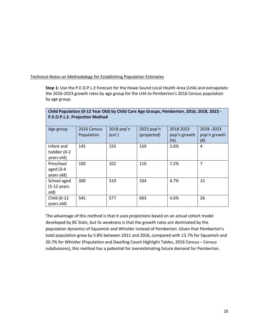Technical Notes on Methodology for Establishing Population Estimates

**Step 1:** Use the P.E.O.P.L.E forecast for the Howe Sound Local Health Area (LHA) and extrapolate the 2016-2023 growth rates by age group for the LHA to Pemberton's 2016 Census population by age group.

| P.E.O.P.L.E. Projection Method           |                           |                      |                           |                                     |                                    |  |  |
|------------------------------------------|---------------------------|----------------------|---------------------------|-------------------------------------|------------------------------------|--|--|
| Age group                                | 2016 Census<br>Population | 2018 pop'n<br>(est.) | 2023 pop'n<br>(projected) | 2018 2023<br>pop'n growth<br>$(\%)$ | 2018 - 2023<br>pop'n growth<br>(#) |  |  |
| Infant and<br>toddler (0-2<br>years old) | 145                       | 155                  | 159                       | 2.6%                                | 4                                  |  |  |
| Preschool<br>aged $(3-4)$<br>years old)  | 100                       | 102                  | 110                       | 7.2%                                | 7                                  |  |  |
| School aged<br>$(5-12)$ years<br>old)    | 300                       | 319                  | 334                       | 4.7%                                | 15                                 |  |  |
| Child (0-12<br>years old)                | 545                       | 577                  | 603                       | 4.6%                                | 26                                 |  |  |

#### **Child Population (0-12 Year Old) by Child Care Age Groups, Pemberton, 2016, 2018, 2023 - P.E.O.P.L.E. Projection Method**

The advantage of this method is that it uses projections based on an actual cohort model developed by BC Stats, but its weakness is that the growth rates are dominated by the population dynamics of Squamish and Whistler instead of Pemberton. Given that Pemberton's total population grew by 5.8% between 2011 and 2016, compared with 13.7% for Squamish and 20.7% for Whistler (Population and Dwelling Count Highlight Tables, 2016 Census – Census subdivisions), this method has a potential for overestimating future demand for Pemberton.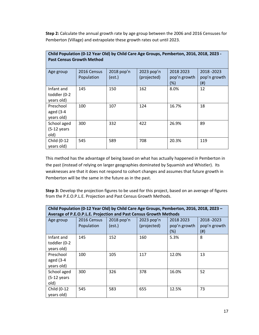**Step 2:** Calculate the annual growth rate by age group between the 2006 and 2016 Censuses for Pemberton (Village) and extrapolate these growth rates out until 2023.

| Child Population (0-12 Year Old) by Child Care Age Groups, Pemberton, 2016, 2018, 2023 -<br><b>Past Census Growth Method</b> |                           |                      |                           |                                  |                                    |  |  |  |
|------------------------------------------------------------------------------------------------------------------------------|---------------------------|----------------------|---------------------------|----------------------------------|------------------------------------|--|--|--|
| Age group                                                                                                                    | 2016 Census<br>Population | 2018 pop'n<br>(est.) | 2023 pop'n<br>(projected) | 2018 2023<br>pop'n growth<br>(%) | 2018 - 2023<br>pop'n growth<br>(#) |  |  |  |
| Infant and<br>toddler (0-2<br>years old)                                                                                     | 145                       | 150                  | 162                       | 8.0%                             | 12                                 |  |  |  |
| Preschool<br>aged $(3-4)$<br>years old)                                                                                      | 100                       | 107                  | 124                       | 16.7%                            | 18                                 |  |  |  |
| School aged<br>$(5-12)$ years<br>old)                                                                                        | 300                       | 332                  | 422                       | 26.9%                            | 89                                 |  |  |  |
| Child (0-12<br>years old)                                                                                                    | 545                       | 589                  | 708                       | 20.3%                            | 119                                |  |  |  |

This method has the advantage of being based on what has actually happened in Pemberton in the past (instead of relying on larger geographies dominated by Squamish and Whistler). Its weaknesses are that it does not respond to cohort changes and assumes that future growth in Pemberton will be the same in the future as in the past.

**Step 3:** Develop the projection figures to be used for this project, based on an average of figures from the P.E.O.P.L.E. Projection and Past Census Growth Methods.

| Child Population (0-12 Year Old) by Child Care Age Groups, Pemberton, 2016, 2018, 2023 -<br>Average of P.E.O.P.L.E. Projection and Past Census Growth Methods |                           |                      |                           |                                  |                                  |  |
|---------------------------------------------------------------------------------------------------------------------------------------------------------------|---------------------------|----------------------|---------------------------|----------------------------------|----------------------------------|--|
| Age group                                                                                                                                                     | 2016 Census<br>Population | 2018 pop'n<br>(est.) | 2023 pop'n<br>(projected) | 2018 2023<br>pop'n growth<br>(%) | 2018-2023<br>pop'n growth<br>(#) |  |
| Infant and<br>toddler (0-2<br>years old)                                                                                                                      | 145                       | 152                  | 160                       | 5.3%                             | 8                                |  |
| Preschool<br>aged $(3-4)$<br>years old)                                                                                                                       | 100                       | 105                  | 117                       | 12.0%                            | 13                               |  |
| School aged<br>$(5-12 \text{ years})$<br>old)                                                                                                                 | 300                       | 326                  | 378                       | 16.0%                            | 52                               |  |
| Child (0-12<br>years old)                                                                                                                                     | 545                       | 583                  | 655                       | 12.5%                            | 73                               |  |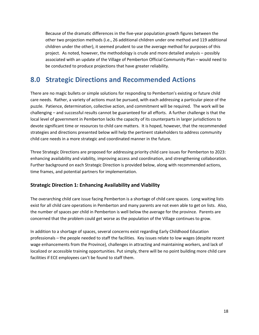Because of the dramatic differences in the five-year population growth figures between the other two projection methods (i.e., 26 additional children under one method and 119 additional children under the other), it seemed prudent to use the average method for purposes of this project. As noted, however, the methodology is crude and more detailed analysis – possibly associated with an update of the Village of Pemberton Official Community Plan – would need to be conducted to produce projections that have greater reliability.

### **8.0 Strategic Directions and Recommended Actions**

There are no magic bullets or simple solutions for responding to Pemberton's existing or future child care needs. Rather, a variety of actions must be pursued, with each addressing a particular piece of the puzzle. Patience, determination, collective action, and commitment will be required. The work will be challenging – and successful results cannot be guaranteed for all efforts. A further challenge is that the local level of government in Pemberton lacks the capacity of its counterparts in larger jurisdictions to devote significant time or resources to child care matters. It is hoped, however, that the recommended strategies and directions presented below will help the pertinent stakeholders to address community child care needs in a more strategic and coordinated manner in the future.

Three Strategic Directions are proposed for addressing priority child care issues for Pemberton to 2023: enhancing availability and viability, improving access and coordination, and strengthening collaboration. Further background on each Strategic Direction is provided below, along with recommended actions, time frames, and potential partners for implementation.

#### **Strategic Direction 1: Enhancing Availability and Viability**

The overarching child care issue facing Pemberton is a shortage of child care spaces. Long waiting lists exist for all child care operations in Pemberton and many parents are not even able to get on lists. Also, the number of spaces per child in Pemberton is well below the average for the province. Parents are concerned that the problem could get worse as the population of the Village continues to grow.

In addition to a shortage of spaces, several concerns exist regarding Early Childhood Education professionals – the people needed to staff the facilities. Key issues relate to low wages (despite recent wage enhancements from the Province), challenges in attracting and maintaining workers, and lack of localized or accessible training opportunities. Put simply, there will be no point building more child care facilities if ECE employees can't be found to staff them.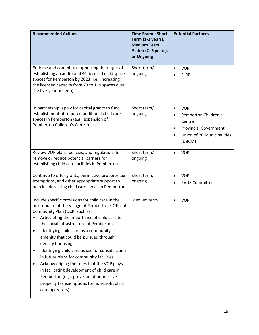| <b>Recommended Actions</b>                                                                                                                                                                                                                                                                                                                                                                                                                                                                                                                                                                                                                                                          | <b>Time Frame: Short</b><br>Term (1-2 years),<br><b>Medium Term</b><br>Action (2-5 years),<br>or Ongoing | <b>Potential Partners</b>                                                                                                                                                |
|-------------------------------------------------------------------------------------------------------------------------------------------------------------------------------------------------------------------------------------------------------------------------------------------------------------------------------------------------------------------------------------------------------------------------------------------------------------------------------------------------------------------------------------------------------------------------------------------------------------------------------------------------------------------------------------|----------------------------------------------------------------------------------------------------------|--------------------------------------------------------------------------------------------------------------------------------------------------------------------------|
| Endorse and commit to supporting the target of<br>establishing an additional 46 licensed child space<br>spaces for Pemberton by 2023 (i.e., increasing<br>the licensed capacity from 73 to 119 spaces over<br>the five-year horizon)                                                                                                                                                                                                                                                                                                                                                                                                                                                | Short term/<br>ongoing                                                                                   | <b>VOP</b><br>$\bullet$<br><b>SLRD</b>                                                                                                                                   |
| In partnership, apply for capital grants to fund<br>establishment of required additional child care<br>spaces in Pemberton (e.g., expansion of<br>Pemberton Children's Centre)                                                                                                                                                                                                                                                                                                                                                                                                                                                                                                      | Short term/<br>ongoing                                                                                   | <b>VOP</b><br>$\bullet$<br>Pemberton Children's<br>$\bullet$<br>Centre<br><b>Provincial Government</b><br>$\bullet$<br>Union of BC Municipalities<br>$\bullet$<br>(UBCM) |
| Review VOP plans, policies, and regulations to<br>remove or reduce potential barriers for<br>establishing child care facilities in Pemberton                                                                                                                                                                                                                                                                                                                                                                                                                                                                                                                                        | Short term/<br>ongoing                                                                                   | <b>VOP</b><br>$\bullet$                                                                                                                                                  |
| Continue to offer grants, permissive property tax<br>exemptions, and other appropriate support to<br>help in addressing child care needs in Pemberton                                                                                                                                                                                                                                                                                                                                                                                                                                                                                                                               | Short term,<br>ongoing                                                                                   | <b>VOP</b><br>$\bullet$<br><b>PVUS Committee</b>                                                                                                                         |
| Include specific provisions for child care in the<br>next update of the Village of Pemberton's Official<br>Community Plan (OCP) such as:<br>Articulating the importance of child care to<br>the social infrastructure of Pemberton<br>Identifying child care as a community<br>$\bullet$<br>amenity that could be pursued through<br>density bonusing<br>Identifying child care as use for consideration<br>٠<br>in future plans for community facilities<br>Acknowledging the roles that the VOP plays<br>$\bullet$<br>in facilitating development of child care in<br>Pemberton (e.g., provision of permissive<br>property tax exemptions for non-profit child<br>care operators) | Medium term                                                                                              | <b>VOP</b>                                                                                                                                                               |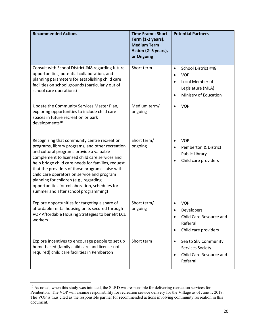| <b>Recommended Actions</b>                                                                                                                                                                                                                                                                                                                                                                                                                                                                  | <b>Time Frame: Short</b><br>Term (1-2 years),<br><b>Medium Term</b><br>Action (2-5 years),<br>or Ongoing | <b>Potential Partners</b>                                                                                                                              |
|---------------------------------------------------------------------------------------------------------------------------------------------------------------------------------------------------------------------------------------------------------------------------------------------------------------------------------------------------------------------------------------------------------------------------------------------------------------------------------------------|----------------------------------------------------------------------------------------------------------|--------------------------------------------------------------------------------------------------------------------------------------------------------|
| Consult with School District #48 regarding future<br>opportunities, potential collaboration, and<br>planning parameters for establishing child care<br>facilities on school grounds (particularly out of<br>school care operations)                                                                                                                                                                                                                                                         | Short term                                                                                               | School District #48<br>$\bullet$<br><b>VOP</b><br>$\bullet$<br>Local Member of<br>$\bullet$<br>Legislature (MLA)<br>Ministry of Education<br>$\bullet$ |
| Update the Community Services Master Plan,<br>exploring opportunities to include child care<br>spaces in future recreation or park<br>developments <sup>10</sup>                                                                                                                                                                                                                                                                                                                            | Medium term/<br>ongoing                                                                                  | <b>VOP</b>                                                                                                                                             |
| Recognizing that community centre recreation<br>programs, library programs, and other recreation<br>and cultural programs provide a valuable<br>complement to licensed child care services and<br>help bridge child care needs for families, request<br>that the providers of those programs liaise with<br>child care operators on service and program<br>planning for children (e.g., regarding<br>opportunities for collaboration, schedules for<br>summer and after school programming) | Short term/<br>ongoing                                                                                   | <b>VOP</b><br>$\bullet$<br>Pemberton & District<br>$\bullet$<br>Public Library<br>Child care providers                                                 |
| Explore opportunities for targeting a share of<br>affordable rental housing units secured through<br>VOP Affordable Housing Strategies to benefit ECE<br>workers                                                                                                                                                                                                                                                                                                                            | Short term/<br>ongoing                                                                                   | <b>VOP</b><br>$\bullet$<br>Developers<br>Child Care Resource and<br>Referral<br>Child care providers<br>$\bullet$                                      |
| Explore incentives to encourage people to set up<br>home-based (family child care and license-not-<br>required) child care facilities in Pemberton                                                                                                                                                                                                                                                                                                                                          | Short term                                                                                               | Sea to Sky Community<br>$\bullet$<br>Services Society<br>Child Care Resource and<br>$\bullet$<br>Referral                                              |

<sup>&</sup>lt;sup>10</sup> As noted, when this study was initiated, the SLRD was responsible for delivering recreation services for Pemberton. The VOP will assume responsibility for recreation service delivery for the Village as of June 1, 2019. The VOP is thus cited as the responsible partner for recommended actions involving community recreation in this document.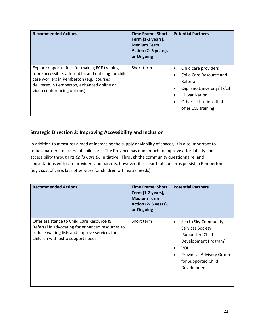| <b>Recommended Actions</b>                                                                                                                                                                                                    | <b>Time Frame: Short</b><br>Term (1-2 years),<br><b>Medium Term</b><br>Action (2-5 years),<br>or Ongoing | <b>Potential Partners</b>                                                                                                                                                  |
|-------------------------------------------------------------------------------------------------------------------------------------------------------------------------------------------------------------------------------|----------------------------------------------------------------------------------------------------------|----------------------------------------------------------------------------------------------------------------------------------------------------------------------------|
| Explore opportunities for making ECE training<br>more accessible, affordable, and enticing for child<br>care workers in Pemberton (e.g., courses<br>delivered in Pemberton, enhanced online or<br>video conferencing options) | Short term                                                                                               | Child care providers<br>$\bullet$<br>Child Care Resource and<br>Referral<br>Capilano University/ Ts'zil<br>Lil'wat Nation<br>Other institutions that<br>offer ECE training |

#### **Strategic Direction 2: Improving Accessibility and Inclusion**

In addition to measures aimed at increasing the supply or viability of spaces, it is also important to reduce barriers to access of child care. The Province has done much to improve affordability and accessibility through its *Child Care BC* initiative. Through the community questionnaire, and consultations with care providers and parents, however, it is clear that concerns persist in Pemberton (e.g., cost of care, lack of services for children with extra needs).

| <b>Recommended Actions</b>                                                                                                                                                          | <b>Time Frame: Short</b><br>Term (1-2 years),<br><b>Medium Term</b><br>Action (2-5 years),<br>or Ongoing | <b>Potential Partners</b>                                                                                                                                                                |
|-------------------------------------------------------------------------------------------------------------------------------------------------------------------------------------|----------------------------------------------------------------------------------------------------------|------------------------------------------------------------------------------------------------------------------------------------------------------------------------------------------|
| Offer assistance to Child Care Resource &<br>Referral in advocating for enhanced resources to<br>reduce waiting lists and improve services for<br>children with extra support needs | Short term                                                                                               | Sea to Sky Community<br>٠<br><b>Services Society</b><br>(Supported Child<br>Development Program)<br><b>VOP</b><br><b>Provincial Advisory Group</b><br>for Supported Child<br>Development |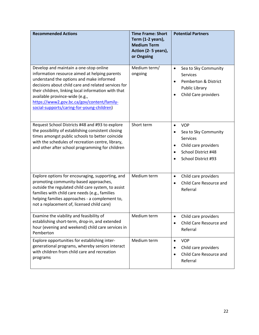| <b>Recommended Actions</b>                                                                                                                                                                                                                                                                                                                                                      | <b>Time Frame: Short</b><br>Term (1-2 years),<br><b>Medium Term</b><br>Action (2-5 years),<br>or Ongoing | <b>Potential Partners</b>                                                                                                                                                       |
|---------------------------------------------------------------------------------------------------------------------------------------------------------------------------------------------------------------------------------------------------------------------------------------------------------------------------------------------------------------------------------|----------------------------------------------------------------------------------------------------------|---------------------------------------------------------------------------------------------------------------------------------------------------------------------------------|
| Develop and maintain a one-stop online<br>information resource aimed at helping parents<br>understand the options and make informed<br>decisions about child care and related services for<br>their children, linking local information with that<br>available province-wide (e.g.,<br>https://www2.gov.bc.ca/gov/content/family-<br>social-supports/caring-for-young-children) | Medium term/<br>ongoing                                                                                  | Sea to Sky Community<br>$\bullet$<br><b>Services</b><br>Pemberton & District<br>$\bullet$<br><b>Public Library</b><br>Child Care providers<br>$\bullet$                         |
| Request School Districts #48 and #93 to explore<br>the possibility of establishing consistent closing<br>times amongst public schools to better coincide<br>with the schedules of recreation centre, library,<br>and other after school programming for children                                                                                                                | Short term                                                                                               | <b>VOP</b><br>$\bullet$<br>Sea to Sky Community<br>$\bullet$<br><b>Services</b><br>Child care providers<br>$\bullet$<br>School District #48<br>$\bullet$<br>School District #93 |
| Explore options for encouraging, supporting, and<br>promoting community-based approaches,<br>outside the regulated child care system, to assist<br>families with child care needs (e.g., families<br>helping families approaches - a complement to,<br>not a replacement of, licensed child care)                                                                               | Medium term                                                                                              | Child care providers<br>$\bullet$<br>Child Care Resource and<br>$\bullet$<br>Referral                                                                                           |
| Examine the viability and feasibility of<br>establishing short-term, drop-in, and extended<br>hour (evening and weekend) child care services in<br>Pemberton                                                                                                                                                                                                                    | Medium term                                                                                              | Child care providers<br>$\bullet$<br>Child Care Resource and<br>$\bullet$<br>Referral                                                                                           |
| Explore opportunities for establishing inter-<br>generational programs, whereby seniors interact<br>with children from child care and recreation<br>programs                                                                                                                                                                                                                    | Medium term                                                                                              | <b>VOP</b><br>$\bullet$<br>Child care providers<br>٠<br>Child Care Resource and<br>$\bullet$<br>Referral                                                                        |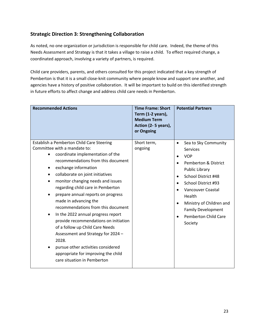#### **Strategic Direction 3: Strengthening Collaboration**

As noted, no one organization or jurisdiction is responsible for child care. Indeed, the theme of this Needs Assessment and Strategy is that it takes a village to raise a child. To effect required change, a coordinated approach, involving a variety of partners, is required.

Child care providers, parents, and others consulted for this project indicated that a key strength of Pemberton is that it is a small close-knit community where people know and support one another, and agencies have a history of positive collaboration. It will be important to build on this identified strength in future efforts to affect change and address child care needs in Pemberton.

| <b>Recommended Actions</b>                                                                                                                                                                                                                                                                                                                                                                                                                                                                                                                                                                                                                                                  | <b>Time Frame: Short</b><br>Term (1-2 years),<br><b>Medium Term</b><br>Action (2-5 years),<br>or Ongoing | <b>Potential Partners</b>                                                                                                                                                                                                                                                                                                                                   |
|-----------------------------------------------------------------------------------------------------------------------------------------------------------------------------------------------------------------------------------------------------------------------------------------------------------------------------------------------------------------------------------------------------------------------------------------------------------------------------------------------------------------------------------------------------------------------------------------------------------------------------------------------------------------------------|----------------------------------------------------------------------------------------------------------|-------------------------------------------------------------------------------------------------------------------------------------------------------------------------------------------------------------------------------------------------------------------------------------------------------------------------------------------------------------|
| Establish a Pemberton Child Care Steering<br>Committee with a mandate to:<br>coordinate implementation of the<br>recommendations from this document<br>exchange information<br>collaborate on joint initiatives<br>monitor changing needs and issues<br>regarding child care in Pemberton<br>prepare annual reports on progress<br>made in advancing the<br>recommendations from this document<br>In the 2022 annual progress report<br>provide recommendations on initiation<br>of a follow up Child Care Needs<br>Assessment and Strategy for 2024 -<br>2028.<br>pursue other activities considered<br>appropriate for improving the child<br>care situation in Pemberton | Short term,<br>ongoing                                                                                   | Sea to Sky Community<br>$\bullet$<br>Services<br><b>VOP</b><br><b>Pemberton &amp; District</b><br><b>Public Library</b><br>School District #48<br>$\bullet$<br>School District #93<br>$\bullet$<br>Vancouver Coastal<br>Health<br>Ministry of Children and<br>$\bullet$<br><b>Family Development</b><br><b>Pemberton Child Care</b><br>$\bullet$<br>Society |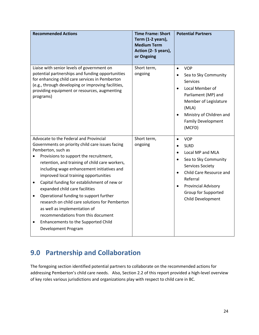| <b>Recommended Actions</b>                                                                                                                                                                                                                                                                                                                                                                                                                                                                                                      | <b>Time Frame: Short</b><br>Term (1-2 years),<br><b>Medium Term</b><br>Action (2-5 years),<br>or Ongoing | <b>Potential Partners</b>                                                                                                                                                                                                                |
|---------------------------------------------------------------------------------------------------------------------------------------------------------------------------------------------------------------------------------------------------------------------------------------------------------------------------------------------------------------------------------------------------------------------------------------------------------------------------------------------------------------------------------|----------------------------------------------------------------------------------------------------------|------------------------------------------------------------------------------------------------------------------------------------------------------------------------------------------------------------------------------------------|
| Liaise with senior levels of government on<br>potential partnerships and funding opportunities<br>for enhancing child care services in Pemberton<br>(e.g., through developing or improving facilities,<br>providing equipment or resources, augmenting<br>programs)                                                                                                                                                                                                                                                             | Short term,<br>ongoing                                                                                   | <b>VOP</b><br>$\bullet$<br>Sea to Sky Community<br><b>Services</b><br>Local Member of<br>$\bullet$<br>Parliament (MP) and<br>Member of Legislature<br>(MLA)<br>Ministry of Children and<br><b>Family Development</b><br>(MCFD)           |
| Advocate to the Federal and Provincial                                                                                                                                                                                                                                                                                                                                                                                                                                                                                          | Short term,                                                                                              | <b>VOP</b><br>$\bullet$                                                                                                                                                                                                                  |
| Governments on priority child care issues facing<br>Pemberton, such as                                                                                                                                                                                                                                                                                                                                                                                                                                                          | ongoing                                                                                                  | <b>SLRD</b><br>$\bullet$                                                                                                                                                                                                                 |
| Provisions to support the recruitment,<br>retention, and training of child care workers,<br>including wage enhancement initiatives and<br>improved local training opportunities<br>Capital funding for establishment of new or<br>$\bullet$<br>expanded child care facilities<br>Operational funding to support further<br>٠<br>research on child care solutions for Pemberton<br>as well as implementation of<br>recommendations from this document<br>Enhancements to the Supported Child<br>$\bullet$<br>Development Program |                                                                                                          | Local MP and MLA<br>$\bullet$<br>Sea to Sky Community<br>$\bullet$<br><b>Services Society</b><br>Child Care Resource and<br>$\bullet$<br>Referral<br><b>Provincial Advisory</b><br>$\bullet$<br>Group for Supported<br>Child Development |

# **9.0 Partnership and Collaboration**

The foregoing section identified potential partners to collaborate on the recommended actions for addressing Pemberton's child care needs. Also, Section 2.2 of this report provided a high-level overview of key roles various jurisdictions and organizations play with respect to child care in BC.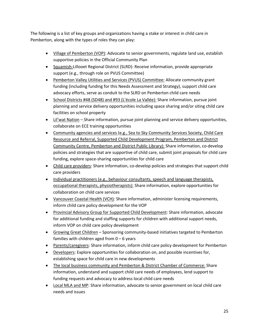The following is a list of key groups and organizations having a stake or interest in child care in Pemberton, along with the types of roles they can play:

- Village of Pemberton (VOP): Advocate to senior governments, regulate land use, establish supportive policies in the Official Community Plan
- Squamish-Lillooet Regional District (SLRD): Receive information, provide appropriate support (e.g., through role on PVUS Committee)
- Pemberton Valley Utilities and Services (PVUS) Committee: Allocate community grant funding (including funding for this Needs Assessment and Strategy), support child care advocacy efforts, serve as conduit to the SLRD on Pemberton child care needs
- School Districts #48 (SD48) and #93 (L'école La Vallée): Share information, pursue joint planning and service delivery opportunities including space sharing and/or siting child care facilities on school property
- Lil'wat Nation Share information, pursue joint planning and service delivery opportunities, collaborate on ECE training opportunities
- Community agencies and services (e.g., Sea to Sky Community Services Society, Child Care Resource and Referral, Supported Child Development Program, Pemberton and District Community Centre, Pemberton and District Public Library): Share information, co-develop policies and strategies that are supportive of child care, submit joint proposals for child care funding, explore space-sharing opportunities for child care
- Child care providers: Share information, co-develop policies and strategies that support child care providers
- Individual practitioners (e.g., behaviour consultants, speech and language therapists, occupational therapists, physiotherapists): Share information, explore opportunities for collaboration on child care services
- Vancouver Coastal Health (VCH): Share information, administer licensing requirements, inform child care policy development for the VOP
- Provincial Advisory Group for Supported Child Development: Share information, advocate for additional funding and staffing supports for children with additional support needs, inform VOP on child care policy development
- Growing Great Children Sponsoring community-based initiatives targeted to Pemberton families with children aged from  $0 - 6$  years
- Parents/caregivers: Share information, inform child care policy development for Pemberton
- Developers: Explore opportunities for collaboration on, and possible incentives for, establishing space for child care in new developments
- The local business community and Pemberton & District Chamber of Commerce: Share information, understand and support child care needs of employees, lend support to funding requests and advocacy to address local child care needs
- Local MLA and MP: Share information, advocate to senior government on local child care needs and issues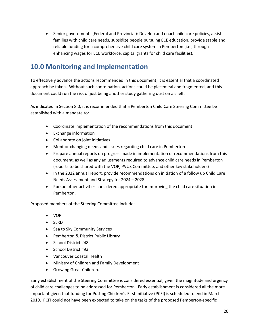• Senior governments (Federal and Provincial): Develop and enact child care policies, assist families with child care needs, subsidize people pursuing ECE education, provide stable and reliable funding for a comprehensive child care system in Pemberton (i.e., through enhancing wages for ECE workforce, capital grants for child care facilities).

### **10.0 Monitoring and Implementation**

To effectively advance the actions recommended in this document, it is essential that a coordinated approach be taken. Without such coordination, actions could be piecemeal and fragmented, and this document could run the risk of just being another study gathering dust on a shelf.

As indicated in Section 8.0, it is recommended that a Pemberton Child Care Steering Committee be established with a mandate to:

- Coordinate implementation of the recommendations from this document
- Exchange information
- Collaborate on joint initiatives
- Monitor changing needs and issues regarding child care in Pemberton
- Prepare annual reports on progress made in implementation of recommendations from this document, as well as any adjustments required to advance child care needs in Pemberton (reports to be shared with the VOP, PVUS Committee, and other key stakeholders)
- In the 2022 annual report, provide recommendations on initiation of a follow up Child Care Needs Assessment and Strategy for 2024 – 2028
- Pursue other activities considered appropriate for improving the child care situation in Pemberton.

Proposed members of the Steering Committee include:

- VOP
- SLRD
- Sea to Sky Community Services
- Pemberton & District Public Library
- School District #48
- School District #93
- Vancouver Coastal Health
- Ministry of Children and Family Development
- Growing Great Children.

Early establishment of the Steering Committee is considered essential, given the magnitude and urgency of child care challenges to be addressed for Pemberton. Early establishment is considered all the more important given that funding for Putting Children's First Initiative (PCFI) is scheduled to end in March 2019. PCFI could not have been expected to take on the tasks of the proposed Pemberton-specific